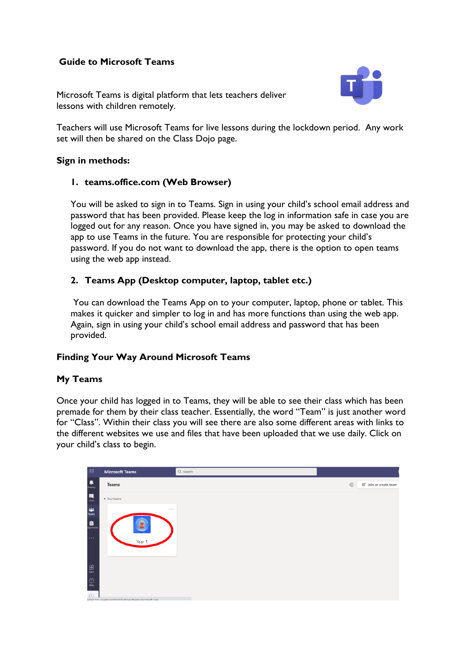# **Guide to Microsoft Teams**

Microsoft Teams is digital platform that lets teachers deliver lessons with children remotely.



Teachers will use Microsoft Teams for live lessons during the lockdown period. Any work set will then be shared on the Class Dojo page.

#### **Sign in methods:**

#### **1. teams.office.com (Web Browser)**

You will be asked to sign in to Teams. Sign in using your child's school email address and password that has been provided. Please keep the log in information safe in case you are logged out for any reason. Once you have signed in, you may be asked to download the app to use Teams in the future. You are responsible for protecting your child's password. If you do not want to download the app, there is the option to open teams using the web app instead.

## **2. Teams App (Desktop computer, laptop, tablet etc.)**

You can download the Teams App on to your computer, laptop, phone or tablet. This makes it quicker and simpler to log in and has more functions than using the web app. Again, sign in using your child's school email address and password that has been provided.

### **Finding Your Way Around Microsoft Teams**

### **My Teams**

Once your child has logged in to Teams, they will be able to see their class which has been premade for them by their class teacher. Essentially, the word "Team" is just another word for "Class". Within their class you will see there are also some different areas with links to the different websites we use and files that have been uploaded that we use daily. Click on your child's class to begin.